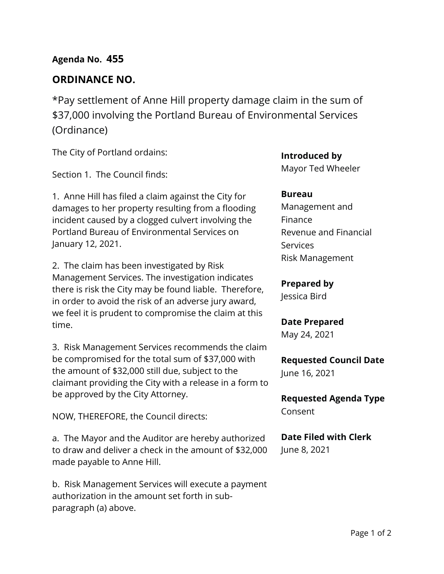## **Agenda No. 455**

## **ORDINANCE NO.**

\*Pay settlement of Anne Hill property damage claim in the sum of \$37,000 involving the Portland Bureau of Environmental Services (Ordinance)

The City of Portland ordains:

Section 1. The Council finds:

1. Anne Hill has filed a claim against the City for damages to her property resulting from a flooding incident caused by a clogged culvert involving the Portland Bureau of Environmental Services on January 12, 2021.

2. The claim has been investigated by Risk Management Services. The investigation indicates there is risk the City may be found liable. Therefore, in order to avoid the risk of an adverse jury award, we feel it is prudent to compromise the claim at this time.

3. Risk Management Services recommends the claim be compromised for the total sum of \$37,000 with the amount of \$32,000 still due, subject to the claimant providing the City with a release in a form to be approved by the City Attorney.

NOW, THEREFORE, the Council directs:

a. The Mayor and the Auditor are hereby authorized to draw and deliver a check in the amount of \$32,000 made payable to Anne Hill.

b. Risk Management Services will execute a payment authorization in the amount set forth in subparagraph (a) above.

**Introduced by** Mayor Ted Wheeler

#### **Bureau**

Management and Finance Revenue and Financial **Services** Risk Management

**Prepared by**

Jessica Bird

**Date Prepared** May 24, 2021

**Requested Council Date** June 16, 2021

**Requested Agenda Type** Consent

**Date Filed with Clerk**  June 8, 2021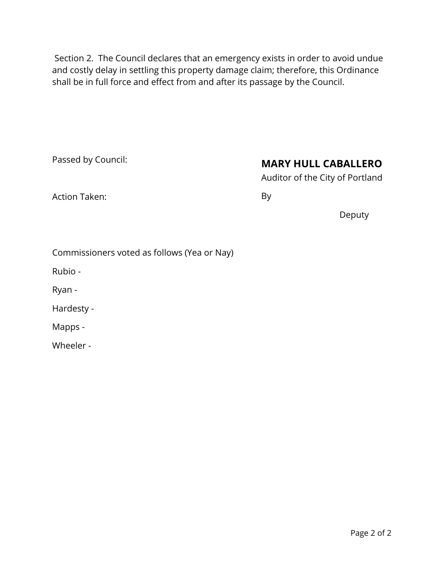Section 2. The Council declares that an emergency exists in order to avoid undue and costly delay in settling this property damage claim; therefore, this Ordinance shall be in full force and effect from and after its passage by the Council.

Passed by Council:

# **MARY HULL CABALLERO**

Auditor of the City of Portland

Action Taken:

By

Deputy

|  | Commissioners voted as follows (Yea or Nay) |  |  |  |
|--|---------------------------------------------|--|--|--|
|--|---------------------------------------------|--|--|--|

Rubio -

Ryan -

Hardesty -

Mapps -

Wheeler -